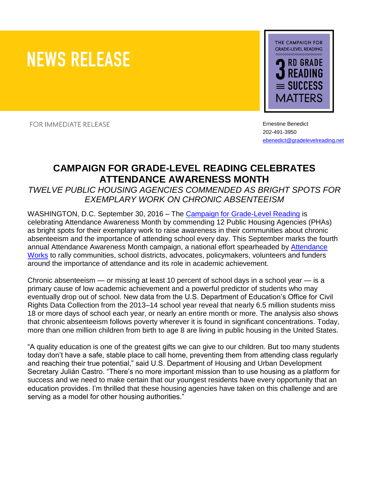# **NEWS RELEASE**



**FOR IMMEDIATE RELEASE** 

Ernestine Benedict 202-491-3950 [ebenedict@gradelevelreading.net](mailto:ebenedict@gradelevelreading.net)

## **CAMPAIGN FOR GRADE-LEVEL READING CELEBRATES ATTENDANCE AWARENESS MONTH**

*TWELVE PUBLIC HOUSING AGENCIES COMMENDED AS BRIGHT SPOTS FOR EXEMPLARY WORK ON CHRONIC ABSENTEEISM* 

WASHINGTON, D.C. September 30, 2016 – The [Campaign for Grade-Level Reading](http://gradelevelreading.net/) is celebrating Attendance Awareness Month by commending 12 Public Housing Agencies (PHAs) as bright spots for their exemplary work to raise awareness in their communities about chronic absenteeism and the importance of attending school every day. This September marks the fourth annual Attendance Awareness Month campaign, a national effort spearheaded by [Attendance](http://www.attendanceworks.org/)  [Works](http://www.attendanceworks.org/) to rally communities, school districts, advocates, policymakers, volunteers and funders around the importance of attendance and its role in academic achievement.

Chronic absenteeism — or missing at least 10 percent of school days in a school year — is a primary cause of low academic achievement and a powerful predictor of students who may eventually drop out of school. New data from the U.S. Department of Education's Office for Civil Rights Data Collection from the 2013–14 school year reveal that nearly 6.5 million students miss 18 or more days of school each year, or nearly an entire month or more. The analysis also shows that chronic absenteeism follows poverty wherever it is found in significant concentrations. Today, more than one million children from birth to age 8 are living in public housing in the United States.

"A quality education is one of the greatest gifts we can give to our children. But too many students today don't have a safe, stable place to call home, preventing them from attending class regularly and reaching their true potential," said U.S. Department of Housing and Urban Development Secretary Julián Castro. "There's no more important mission than to use housing as a platform for success and we need to make certain that our youngest residents have every opportunity that an education provides. I'm thrilled that these housing agencies have taken on this challenge and are serving as a model for other housing authorities."